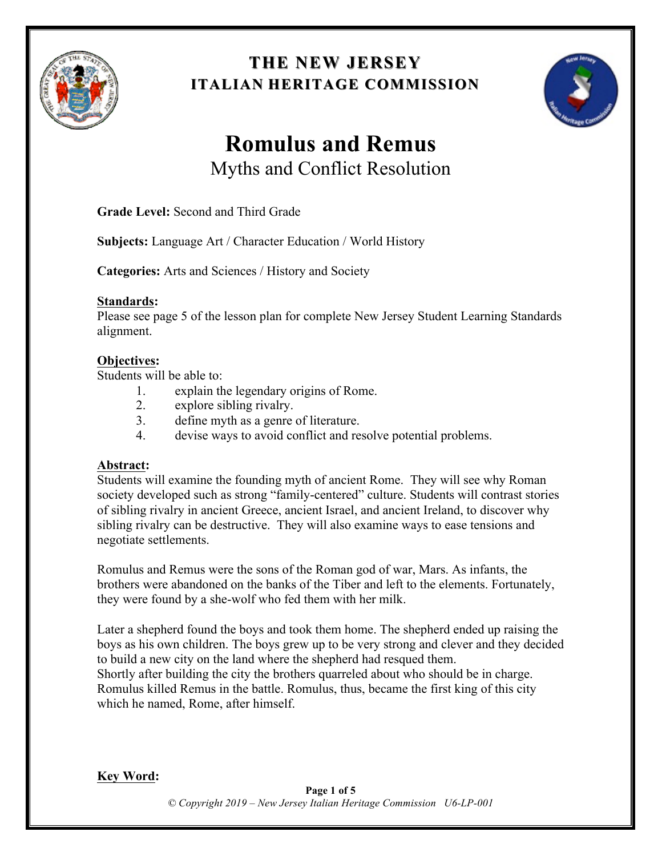

# **THE NEW JERSEY THE NEW JERSEY ITALIAN HERITAGE COMMISSION**



# **Romulus and Remus**

Myths and Conflict Resolution

**Grade Level:** Second and Third Grade

**Subjects:** Language Art / Character Education / World History

**Categories:** Arts and Sciences / History and Society

## **Standards:**

Please see page 5 of the lesson plan for complete New Jersey Student Learning Standards alignment.

# **Objectives:**

Students will be able to:

- 1. explain the legendary origins of Rome.
- 2. explore sibling rivalry.
- 3. define myth as a genre of literature.
- 4. devise ways to avoid conflict and resolve potential problems.

# **Abstract:**

Students will examine the founding myth of ancient Rome. They will see why Roman society developed such as strong "family-centered" culture. Students will contrast stories of sibling rivalry in ancient Greece, ancient Israel, and ancient Ireland, to discover why sibling rivalry can be destructive. They will also examine ways to ease tensions and negotiate settlements.

Romulus and Remus were the sons of the Roman god of war, Mars. As infants, the brothers were abandoned on the banks of the Tiber and left to the elements. Fortunately, they were found by a she-wolf who fed them with her milk.

Later a shepherd found the boys and took them home. The shepherd ended up raising the boys as his own children. The boys grew up to be very strong and clever and they decided to build a new city on the land where the shepherd had resqued them. Shortly after building the city the brothers quarreled about who should be in charge. Romulus killed Remus in the battle. Romulus, thus, became the first king of this city which he named, Rome, after himself.

**Key Word:**

**Page 1 of 5** *© Copyright 2019 – New Jersey Italian Heritage Commission U6-LP-001*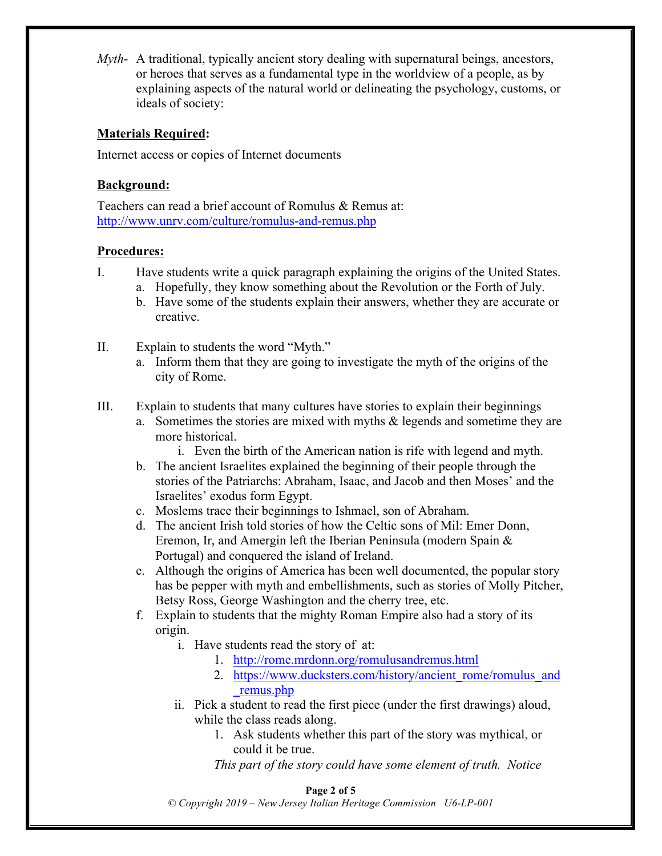*Myth*- A traditional, typically ancient story dealing with supernatural beings, ancestors, or heroes that serves as a fundamental type in the worldview of a people, as by explaining aspects of the natural world or delineating the psychology, customs, or ideals of society:

### **Materials Required:**

Internet access or copies of Internet documents

#### **Background:**

Teachers can read a brief account of Romulus & Remus at: http://www.unrv.com/culture/romulus-and-remus.php

#### **Procedures:**

- I. Have students write a quick paragraph explaining the origins of the United States.
	- a. Hopefully, they know something about the Revolution or the Forth of July.
	- b. Have some of the students explain their answers, whether they are accurate or creative.
- II. Explain to students the word "Myth."
	- a. Inform them that they are going to investigate the myth of the origins of the city of Rome.
- III. Explain to students that many cultures have stories to explain their beginnings
	- a. Sometimes the stories are mixed with myths & legends and sometime they are more historical.
		- i. Even the birth of the American nation is rife with legend and myth.
	- b. The ancient Israelites explained the beginning of their people through the stories of the Patriarchs: Abraham, Isaac, and Jacob and then Moses' and the Israelites' exodus form Egypt.
	- c. Moslems trace their beginnings to Ishmael, son of Abraham.
	- d. The ancient Irish told stories of how the Celtic sons of Mil: Emer Donn, Eremon, Ir, and Amergin left the Iberian Peninsula (modern Spain & Portugal) and conquered the island of Ireland.
	- e. Although the origins of America has been well documented, the popular story has be pepper with myth and embellishments, such as stories of Molly Pitcher, Betsy Ross, George Washington and the cherry tree, etc.
	- f. Explain to students that the mighty Roman Empire also had a story of its origin.
		- i. Have students read the story of at:
			- 1. http://rome.mrdonn.org/romulusandremus.html
			- 2. https://www.ducksters.com/history/ancient\_rome/romulus\_and \_remus.php
		- ii. Pick a student to read the first piece (under the first drawings) aloud, while the class reads along.
			- 1. Ask students whether this part of the story was mythical, or could it be true.
			- *This part of the story could have some element of truth. Notice*

#### **Page 2 of 5**

*© Copyright 2019 – New Jersey Italian Heritage Commission U6-LP-001*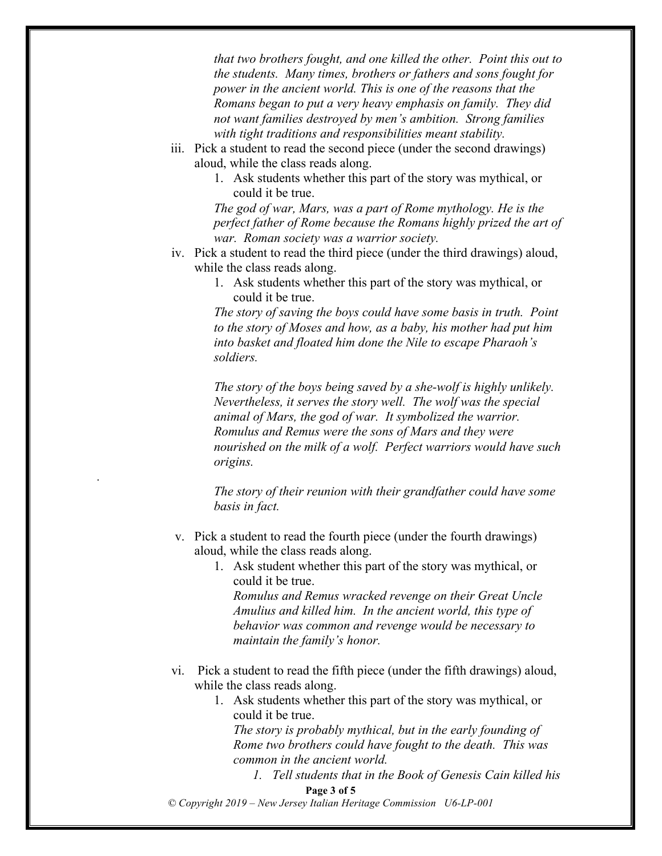*that two brothers fought, and one killed the other. Point this out to the students. Many times, brothers or fathers and sons fought for power in the ancient world. This is one of the reasons that the Romans began to put a very heavy emphasis on family. They did not want families destroyed by men's ambition. Strong families with tight traditions and responsibilities meant stability.*

- iii. Pick a student to read the second piece (under the second drawings) aloud, while the class reads along.
	- 1. Ask students whether this part of the story was mythical, or could it be true.

*The god of war, Mars, was a part of Rome mythology. He is the perfect father of Rome because the Romans highly prized the art of war. Roman society was a warrior society.*

- iv. Pick a student to read the third piece (under the third drawings) aloud, while the class reads along.
	- 1. Ask students whether this part of the story was mythical, or could it be true.

*The story of saving the boys could have some basis in truth. Point to the story of Moses and how, as a baby, his mother had put him into basket and floated him done the Nile to escape Pharaoh's soldiers.*

*The story of the boys being saved by a she-wolf is highly unlikely. Nevertheless, it serves the story well. The wolf was the special animal of Mars, the god of war. It symbolized the warrior. Romulus and Remus were the sons of Mars and they were nourished on the milk of a wolf. Perfect warriors would have such origins.*

*The story of their reunion with their grandfather could have some basis in fact.*

v. Pick a student to read the fourth piece (under the fourth drawings) aloud, while the class reads along.

*.*

- 1. Ask student whether this part of the story was mythical, or could it be true. *Romulus and Remus wracked revenge on their Great Uncle Amulius and killed him. In the ancient world, this type of behavior was common and revenge would be necessary to maintain the family's honor.*
- vi. Pick a student to read the fifth piece (under the fifth drawings) aloud, while the class reads along.
	- 1. Ask students whether this part of the story was mythical, or could it be true.

*The story is probably mythical, but in the early founding of Rome two brothers could have fought to the death. This was common in the ancient world.*

**Page 3 of 5** *1. Tell students that in the Book of Genesis Cain killed his* 

*© Copyright 2019 – New Jersey Italian Heritage Commission U6-LP-001*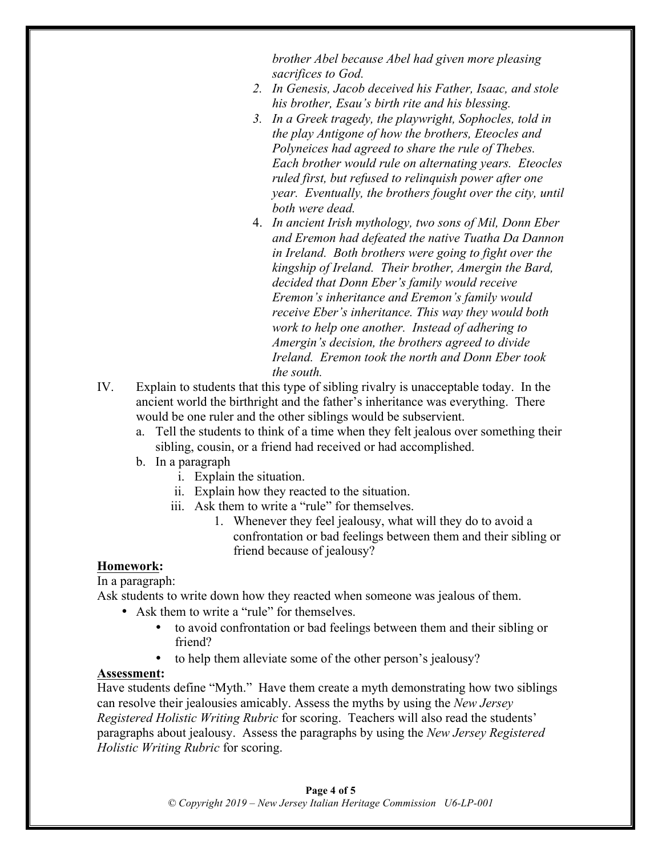*brother Abel because Abel had given more pleasing sacrifices to God.*

- *2. In Genesis, Jacob deceived his Father, Isaac, and stole his brother, Esau's birth rite and his blessing.*
- *3. In a Greek tragedy, the playwright, Sophocles, told in the play Antigone of how the brothers, Eteocles and Polyneices had agreed to share the rule of Thebes. Each brother would rule on alternating years. Eteocles ruled first, but refused to relinquish power after one year. Eventually, the brothers fought over the city, until both were dead.*
- 4. *In ancient Irish mythology, two sons of Mil, Donn Eber and Eremon had defeated the native Tuatha Da Dannon in Ireland. Both brothers were going to fight over the kingship of Ireland. Their brother, Amergin the Bard, decided that Donn Eber's family would receive Eremon's inheritance and Eremon's family would receive Eber's inheritance. This way they would both work to help one another. Instead of adhering to Amergin's decision, the brothers agreed to divide Ireland. Eremon took the north and Donn Eber took the south.*
- IV. Explain to students that this type of sibling rivalry is unacceptable today. In the ancient world the birthright and the father's inheritance was everything. There would be one ruler and the other siblings would be subservient.
	- a. Tell the students to think of a time when they felt jealous over something their sibling, cousin, or a friend had received or had accomplished.
	- b. In a paragraph
		- i. Explain the situation.
		- ii. Explain how they reacted to the situation.
		- iii. Ask them to write a "rule" for themselves.
			- 1. Whenever they feel jealousy, what will they do to avoid a confrontation or bad feelings between them and their sibling or friend because of jealousy?

#### **Homework:**

In a paragraph:

Ask students to write down how they reacted when someone was jealous of them.

- Ask them to write a "rule" for themselves.
	- to avoid confrontation or bad feelings between them and their sibling or friend?
	- to help them alleviate some of the other person's jealousy?

#### **Assessment:**

Have students define "Myth." Have them create a myth demonstrating how two siblings can resolve their jealousies amicably. Assess the myths by using the *New Jersey Registered Holistic Writing Rubric* for scoring. Teachers will also read the students' paragraphs about jealousy. Assess the paragraphs by using the *New Jersey Registered Holistic Writing Rubric* for scoring.